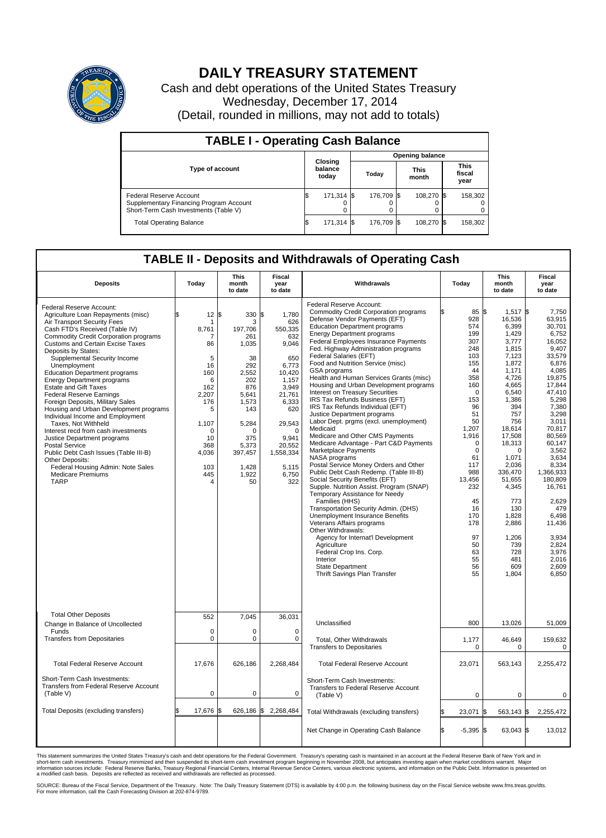

## **DAILY TREASURY STATEMENT**

Cash and debt operations of the United States Treasury Wednesday, December 17, 2014 (Detail, rounded in millions, may not add to totals)

| <b>TABLE I - Operating Cash Balance</b>                                                                     |     |                             |  |                        |  |                      |  |                               |  |  |
|-------------------------------------------------------------------------------------------------------------|-----|-----------------------------|--|------------------------|--|----------------------|--|-------------------------------|--|--|
|                                                                                                             |     |                             |  | <b>Opening balance</b> |  |                      |  |                               |  |  |
| <b>Type of account</b>                                                                                      |     | Closing<br>balance<br>today |  | Today                  |  | <b>This</b><br>month |  | <b>This</b><br>fiscal<br>year |  |  |
| Federal Reserve Account<br>Supplementary Financing Program Account<br>Short-Term Cash Investments (Table V) |     | 171,314 \$                  |  | 176.709 \$             |  | 108.270 \$           |  | 158,302                       |  |  |
| <b>Total Operating Balance</b>                                                                              | I\$ | 171,314 \$                  |  | 176.709 \$             |  | 108.270 \$           |  | 158.302                       |  |  |

## **TABLE II - Deposits and Withdrawals of Operating Cash**

| <b>Deposits</b>                                                                                                                                                                                                                                                                                                                                                                                                                                                                                                                                                                                                                                                                                                                                                                                                                | Today                                                                                                                                              | <b>This</b><br>month<br>to date                                                                                                                                                 | <b>Fiscal</b><br>year<br>to date                                                                                                                                                                   | Withdrawals                                                                                                                                                                                                                                                                                                                                                                                                                                                                                                                                                                                                                                                                                                                                                                                                                                                                                                                                                                                                                                                                                                                                                                                                                                                                    | Today                                                                                                                                                                                                                                                              | <b>This</b><br>month<br>to date                                                                                                                                                                                                                                                                                      | <b>Fiscal</b><br>year<br>to date                                                                                                                                                                                                                                                                                                        |
|--------------------------------------------------------------------------------------------------------------------------------------------------------------------------------------------------------------------------------------------------------------------------------------------------------------------------------------------------------------------------------------------------------------------------------------------------------------------------------------------------------------------------------------------------------------------------------------------------------------------------------------------------------------------------------------------------------------------------------------------------------------------------------------------------------------------------------|----------------------------------------------------------------------------------------------------------------------------------------------------|---------------------------------------------------------------------------------------------------------------------------------------------------------------------------------|----------------------------------------------------------------------------------------------------------------------------------------------------------------------------------------------------|--------------------------------------------------------------------------------------------------------------------------------------------------------------------------------------------------------------------------------------------------------------------------------------------------------------------------------------------------------------------------------------------------------------------------------------------------------------------------------------------------------------------------------------------------------------------------------------------------------------------------------------------------------------------------------------------------------------------------------------------------------------------------------------------------------------------------------------------------------------------------------------------------------------------------------------------------------------------------------------------------------------------------------------------------------------------------------------------------------------------------------------------------------------------------------------------------------------------------------------------------------------------------------|--------------------------------------------------------------------------------------------------------------------------------------------------------------------------------------------------------------------------------------------------------------------|----------------------------------------------------------------------------------------------------------------------------------------------------------------------------------------------------------------------------------------------------------------------------------------------------------------------|-----------------------------------------------------------------------------------------------------------------------------------------------------------------------------------------------------------------------------------------------------------------------------------------------------------------------------------------|
| Federal Reserve Account:<br>Agriculture Loan Repayments (misc)<br>Air Transport Security Fees<br>Cash FTD's Received (Table IV)<br><b>Commodity Credit Corporation programs</b><br>Customs and Certain Excise Taxes<br>Deposits by States:<br>Supplemental Security Income<br>Unemployment<br><b>Education Department programs</b><br><b>Energy Department programs</b><br><b>Estate and Gift Taxes</b><br><b>Federal Reserve Earnings</b><br>Foreign Deposits, Military Sales<br>Housing and Urban Development programs<br>Individual Income and Employment<br>Taxes, Not Withheld<br>Interest recd from cash investments<br>Justice Department programs<br><b>Postal Service</b><br>Public Debt Cash Issues (Table III-B)<br>Other Deposits:<br>Federal Housing Admin: Note Sales<br><b>Medicare Premiums</b><br><b>TARP</b> | 12<br>\$<br>1<br>8,761<br>7<br>86<br>5<br>16<br>160<br>6<br>162<br>2,207<br>176<br>5<br>1,107<br>$\Omega$<br>10<br>368<br>4,036<br>103<br>445<br>4 | 1\$<br>330<br>3<br>197,706<br>261<br>1,035<br>38<br>292<br>2,552<br>202<br>876<br>5,641<br>1,573<br>143<br>5,284<br>$\Omega$<br>375<br>5,373<br>397,457<br>1,428<br>1,922<br>50 | \$<br>1,780<br>626<br>550,335<br>632<br>9,046<br>650<br>6,773<br>10,420<br>1,157<br>3,949<br>21,761<br>6,333<br>620<br>29,543<br>$\Omega$<br>9,941<br>20,552<br>1,558,334<br>5,115<br>6,750<br>322 | Federal Reserve Account:<br><b>Commodity Credit Corporation programs</b><br>Defense Vendor Payments (EFT)<br><b>Education Department programs</b><br><b>Energy Department programs</b><br><b>Federal Employees Insurance Payments</b><br>Fed. Highway Administration programs<br>Federal Salaries (EFT)<br>Food and Nutrition Service (misc)<br>GSA programs<br>Health and Human Services Grants (misc)<br>Housing and Urban Development programs<br>Interest on Treasury Securities<br>IRS Tax Refunds Business (EFT)<br>IRS Tax Refunds Individual (EFT)<br>Justice Department programs<br>Labor Dept. prgms (excl. unemployment)<br>Medicaid<br>Medicare and Other CMS Payments<br>Medicare Advantage - Part C&D Payments<br>Marketplace Payments<br>NASA programs<br>Postal Service Money Orders and Other<br>Public Debt Cash Redemp. (Table III-B)<br>Social Security Benefits (EFT)<br>Supple. Nutrition Assist. Program (SNAP)<br>Temporary Assistance for Needy<br>Families (HHS)<br>Transportation Security Admin. (DHS)<br>Unemployment Insurance Benefits<br>Veterans Affairs programs<br>Other Withdrawals:<br>Agency for Internat'l Development<br>Agriculture<br>Federal Crop Ins. Corp.<br>Interior<br><b>State Department</b><br>Thrift Savings Plan Transfer | 85 \$<br>928<br>574<br>199<br>307<br>248<br>103<br>155<br>44<br>358<br>160<br>$\Omega$<br>153<br>96<br>51<br>50<br>1,207<br>1,916<br>$\mathbf 0$<br>$\mathbf 0$<br>61<br>117<br>988<br>13,456<br>232<br>45<br>16<br>170<br>178<br>97<br>50<br>63<br>55<br>56<br>55 | $1,517$ \$<br>16,536<br>6,399<br>1,429<br>3.777<br>1,815<br>7,123<br>1,872<br>1,171<br>4,726<br>4,665<br>6,540<br>1,386<br>394<br>757<br>756<br>18,614<br>17,508<br>18,313<br>$\Omega$<br>1,071<br>2,036<br>336,470<br>51,655<br>4,345<br>773<br>130<br>1,828<br>2,886<br>1,206<br>739<br>728<br>481<br>609<br>1,804 | 7.750<br>63,915<br>30,701<br>6,752<br>16.052<br>9,407<br>33,579<br>6,876<br>4.085<br>19,875<br>17,844<br>47,410<br>5,298<br>7,380<br>3,298<br>3,011<br>70,817<br>80.569<br>60.147<br>3,562<br>3.634<br>8,334<br>1,366,933<br>180,809<br>16,761<br>2,629<br>479<br>6,498<br>11,436<br>3.934<br>2,824<br>3,976<br>2,016<br>2,609<br>6,850 |
| <b>Total Other Deposits</b><br>Change in Balance of Uncollected                                                                                                                                                                                                                                                                                                                                                                                                                                                                                                                                                                                                                                                                                                                                                                | 552                                                                                                                                                | 7,045                                                                                                                                                                           | 36,031                                                                                                                                                                                             | Unclassified                                                                                                                                                                                                                                                                                                                                                                                                                                                                                                                                                                                                                                                                                                                                                                                                                                                                                                                                                                                                                                                                                                                                                                                                                                                                   | 800                                                                                                                                                                                                                                                                | 13,026                                                                                                                                                                                                                                                                                                               | 51,009                                                                                                                                                                                                                                                                                                                                  |
| Funds<br><b>Transfers from Depositaries</b>                                                                                                                                                                                                                                                                                                                                                                                                                                                                                                                                                                                                                                                                                                                                                                                    | $\mathbf 0$<br>$\mathbf 0$                                                                                                                         | 0<br>0                                                                                                                                                                          | 0<br>$\mathbf 0$                                                                                                                                                                                   | Total, Other Withdrawals<br><b>Transfers to Depositaries</b>                                                                                                                                                                                                                                                                                                                                                                                                                                                                                                                                                                                                                                                                                                                                                                                                                                                                                                                                                                                                                                                                                                                                                                                                                   | 1,177<br>0                                                                                                                                                                                                                                                         | 46,649<br>0                                                                                                                                                                                                                                                                                                          | 159,632<br>0                                                                                                                                                                                                                                                                                                                            |
| <b>Total Federal Reserve Account</b>                                                                                                                                                                                                                                                                                                                                                                                                                                                                                                                                                                                                                                                                                                                                                                                           | 17,676                                                                                                                                             | 626,186                                                                                                                                                                         | 2,268,484                                                                                                                                                                                          | <b>Total Federal Reserve Account</b>                                                                                                                                                                                                                                                                                                                                                                                                                                                                                                                                                                                                                                                                                                                                                                                                                                                                                                                                                                                                                                                                                                                                                                                                                                           | 23,071                                                                                                                                                                                                                                                             | 563,143                                                                                                                                                                                                                                                                                                              | 2,255,472                                                                                                                                                                                                                                                                                                                               |
| Short-Term Cash Investments:<br><b>Transfers from Federal Reserve Account</b><br>(Table V)                                                                                                                                                                                                                                                                                                                                                                                                                                                                                                                                                                                                                                                                                                                                     | $\pmb{0}$                                                                                                                                          | 0                                                                                                                                                                               | 0                                                                                                                                                                                                  | Short-Term Cash Investments:<br>Transfers to Federal Reserve Account<br>(Table V)                                                                                                                                                                                                                                                                                                                                                                                                                                                                                                                                                                                                                                                                                                                                                                                                                                                                                                                                                                                                                                                                                                                                                                                              | $\mathbf 0$                                                                                                                                                                                                                                                        | 0                                                                                                                                                                                                                                                                                                                    | 0                                                                                                                                                                                                                                                                                                                                       |
| Total Deposits (excluding transfers)                                                                                                                                                                                                                                                                                                                                                                                                                                                                                                                                                                                                                                                                                                                                                                                           | 17,676<br>\$                                                                                                                                       | ß.                                                                                                                                                                              | 626,186 \$2,268,484                                                                                                                                                                                | Total Withdrawals (excluding transfers)                                                                                                                                                                                                                                                                                                                                                                                                                                                                                                                                                                                                                                                                                                                                                                                                                                                                                                                                                                                                                                                                                                                                                                                                                                        | 23,071                                                                                                                                                                                                                                                             | 563,143 \$<br>1\$                                                                                                                                                                                                                                                                                                    | 2,255,472                                                                                                                                                                                                                                                                                                                               |
|                                                                                                                                                                                                                                                                                                                                                                                                                                                                                                                                                                                                                                                                                                                                                                                                                                |                                                                                                                                                    |                                                                                                                                                                                 |                                                                                                                                                                                                    | Net Change in Operating Cash Balance                                                                                                                                                                                                                                                                                                                                                                                                                                                                                                                                                                                                                                                                                                                                                                                                                                                                                                                                                                                                                                                                                                                                                                                                                                           | \$.<br>$-5,395$ \$                                                                                                                                                                                                                                                 | 63,043 \$                                                                                                                                                                                                                                                                                                            | 13,012                                                                                                                                                                                                                                                                                                                                  |

This statement summarizes the United States Treasury's cash and debt operations for the Federal Government. Treasury's operating cash is maintained in an account at the Federal Reserve Bank of New York and in<br>short-term ca

SOURCE: Bureau of the Fiscal Service, Department of the Treasury. Note: The Daily Treasury Statement (DTS) is available by 4:00 p.m. the following business day on the Fiscal Service website www.fms.treas.gov/dts.<br>For more